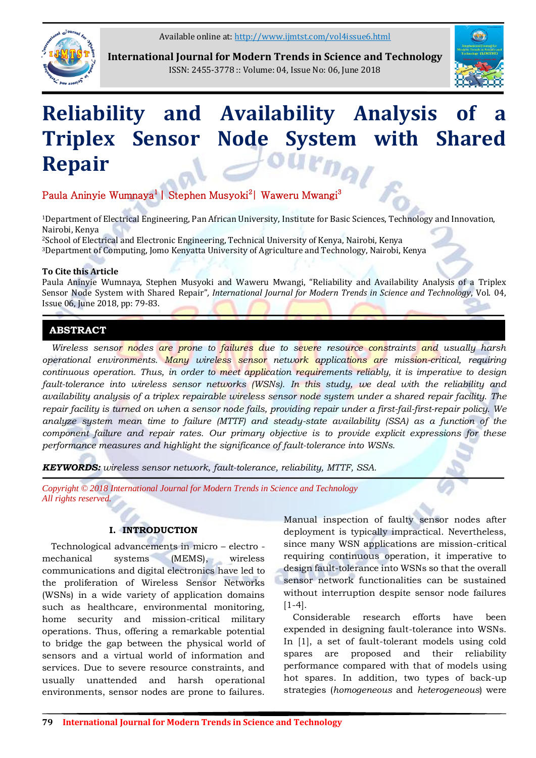Available online at:<http://www.ijmtst.com/vol4issue6.html>



**International Journal for Modern Trends in Science and Technology** ISSN: 2455-3778 :: Volume: 04, Issue No: 06, June 2018



# **Reliability and Availability Analysis of Triplex Sensor Node System with Shared Repair**

# Paula Aninyie Wumnaya<sup>1</sup> | Stephen Musyoki<sup>2</sup> | Waweru Mwangi<sup>3</sup>

<sup>1</sup>Department of Electrical Engineering, Pan African University, Institute for Basic Sciences, Technology and Innovation, Nairobi, Kenya

<sup>2</sup>School of Electrical and Electronic Engineering, Technical University of Kenya, Nairobi, Kenya <sup>3</sup>Department of Computing, Jomo Kenyatta University of Agriculture and Technology, Nairobi, Kenya

### **To Cite this Article**

Paula Aninyie Wumnaya, Stephen Musyoki and Waweru Mwangi, "Reliability and Availability Analysis of a Triplex Sensor Node System with Shared Repair"*, International Journal for Modern Trends in Science and Technology*, Vol. 04, Issue 06, June 2018, pp: 79-83.

## **ABSTRACT**

*Wireless sensor nodes are prone to failures due to severe resource constraints and usually harsh operational environments. Many wireless sensor network applications are mission-critical, requiring continuous operation. Thus, in order to meet application requirements reliably, it is imperative to design fault-tolerance into wireless sensor networks (WSNs). In this study, we deal with the reliability and availability analysis of a triplex repairable wireless sensor node system under a shared repair facility. The repair facility is turned on when a sensor node fails, providing repair under a first-fail-first-repair policy. We analyze system mean time to failure (MTTF) and steady-state availability (SSA) as a function of the component failure and repair rates. Our primary objective is to provide explicit expressions for these performance measures and highlight the significance of fault-tolerance into WSNs.* 

*KEYWORDS: wireless sensor network, fault-tolerance, reliability, MTTF, SSA.*

*Copyright © 2018 International Journal for Modern Trends in Science and Technology All rights reserved.*

### **I. INTRODUCTION**

Technological advancements in micro – electro mechanical systems (MEMS), wireless communications and digital electronics have led to the proliferation of Wireless Sensor Networks (WSNs) in a wide variety of application domains such as healthcare, environmental monitoring, home security and mission-critical military operations. Thus, offering a remarkable potential to bridge the gap between the physical world of sensors and a virtual world of information and services. Due to severe resource constraints, and usually unattended and harsh operational environments, sensor nodes are prone to failures.

Manual inspection of faulty sensor nodes after deployment is typically impractical. Nevertheless, since many WSN applications are mission-critical requiring continuous operation, it imperative to design fault-tolerance into WSNs so that the overall sensor network functionalities can be sustained without interruption despite sensor node failures [1-4].

Considerable research efforts have been expended in designing fault-tolerance into WSNs. In [1], a set of fault-tolerant models using cold spares are proposed and their reliability performance compared with that of models using hot spares. In addition, two types of back-up strategies (*homogeneous* and *heterogeneous*) were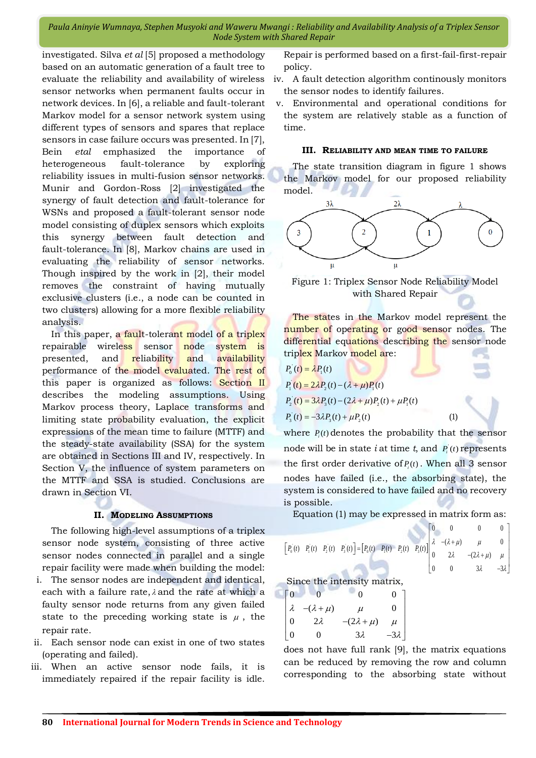investigated. Silva *et al* [5] proposed a methodology based on an automatic generation of a fault tree to evaluate the reliability and availability of wireless sensor networks when permanent faults occur in network devices. In [6], a reliable and fault-tolerant Markov model for a sensor network system using different types of sensors and spares that replace sensors in case failure occurs was presented. In [7], Bein *etal* emphasized the importance of heterogeneous fault-tolerance by exploring reliability issues in multi-fusion sensor networks. Munir and Gordon-Ross [2] investigated the synergy of fault detection and fault-tolerance for WSNs and proposed a fault-tolerant sensor node model consisting of duplex sensors which exploits this synergy between fault detection and fault-tolerance. In [8], Markov chains are used in evaluating the reliability of sensor networks. Though inspired by the work in [2], their model removes the constraint of having mutually exclusive clusters (i.e., a node can be counted in two clusters) allowing for a more flexible reliability analysis.

In this paper, a fault-tolerant model of a triplex repairable wireless sensor node system is presented, and reliability and availability performance of the model evaluated. The rest of this paper is organized as follows: Section II describes the modeling assumptions. Using Markov process theory, Laplace transforms and limiting state probability evaluation, the explicit expressions of the mean time to failure (MTTF) and the steady-state availability (SSA) for the system are obtained in Sections III and IV, respectively. In Section V, the influence of system parameters on the MTTF and SSA is studied. Conclusions are drawn in Section VI.

#### **II. MODELING ASSUMPTIONS**

The following high-level assumptions of a triplex sensor node system, consisting of three active sensor nodes connected in parallel and a single repair facility were made when building the model:

- i. The sensor nodes are independent and identical, each with a failure rate,  $\lambda$  and the rate at which a faulty sensor node returns from any given failed state to the preceding working state is  $\mu$ , the repair rate.
- ii. Each sensor node can exist in one of two states (operating and failed).
- iii. When an active sensor node fails, it is immediately repaired if the repair facility is idle.

Repair is performed based on a first-fail-first-repair policy.

- iv. A fault detection algorithm continously monitors the sensor nodes to identify failures.
- v. Environmental and operational conditions for the system are relatively stable as a function of time.

#### **III. RELIABILITY AND MEAN TIME TO FAILURE**

The state transition diagram in figure 1 shows the Markov model for our proposed reliability model.



Figure 1: Triplex Sensor Node Reliability Model with Shared Repair

The states in the Markov model represent the number of operating or good sensor nodes. The differential equations describing the sensor node

triplex Markov model are:  
\n
$$
P_0'(t) = \lambda P_1(t)
$$
\n
$$
P_1'(t) = 2\lambda P_2(t) - (\lambda + \mu)P_1(t)
$$
\n
$$
P_2'(t) = 3\lambda P_3(t) - (2\lambda + \mu)P_2(t) + \mu P_1(t)
$$
\n
$$
P_3'(t) = -3\lambda P_3(t) + \mu P_2(t)
$$
\n(1)

where  $P_i(t)$  denotes the probability that the sensor node will be in state *i* at time *t*, and  $P_i(t)$  represents the first order derivative of  $P_i(t)$ . When all 3 sensor nodes have failed (i.e., the absorbing state), the system is considered to have failed and no recovery is possible.

Equation (1) may be expressed in matrix form as:  
\n
$$
\begin{bmatrix} P_0(t) & P_1(t) & P_2(t) & P_3(t) \end{bmatrix} = \begin{bmatrix} P_0(t) & P_1(t) & P_2(t) & P_3(t) \end{bmatrix} \begin{bmatrix} 0 & 0 & 0 & 0 \\ \lambda & -(\lambda + \mu) & \mu & 0 \\ 0 & 2\lambda & -(2\lambda + \mu) & \mu \\ 0 & 0 & 3\lambda & -3\lambda \end{bmatrix}
$$
\nSince the intensity matrix,  
\n
$$
\begin{bmatrix} 0 & 0 & 0 & 0 \\ 0 & 0 & 0 & 0 \\ 0 & 0 & 0 & 0 \\ 0 & 0 & 0 & 0 \end{bmatrix}
$$

$$
\begin{bmatrix} 0 & 0 & 0 & 0 \\ \lambda & -(\lambda + \mu) & \mu & 0 \\ 0 & 2\lambda & -(2\lambda + \mu) & \mu \\ 0 & 0 & 3\lambda & -3\lambda \end{bmatrix}
$$

does not have full rank [9], the matrix equations can be reduced by removing the row and column corresponding to the absorbing state without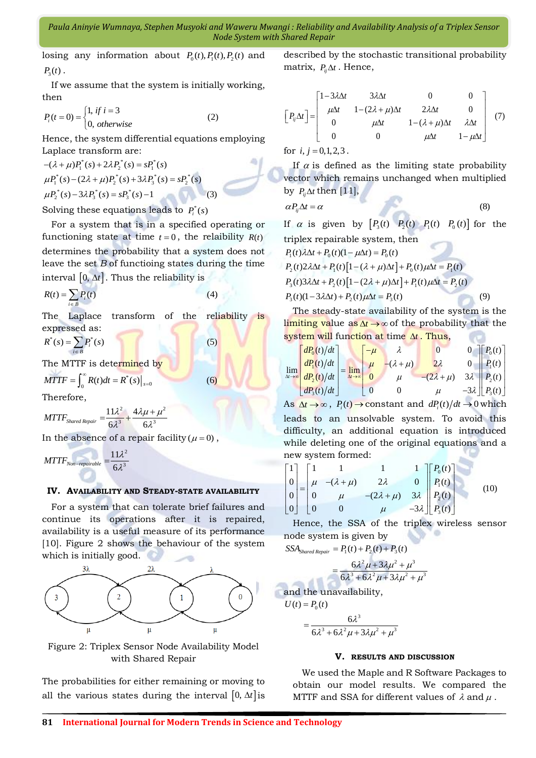losing any information about  $P_0(t)$ ,  $P_1(t)$ ,  $P_2(t)$  and  $P_{3}(t)$ .

If we assume that the system is initially working, then

then  
\n
$$
P_i(t=0) = \begin{cases} 1, & \text{if } i = 3 \\ 0, & \text{otherwise} \end{cases}
$$
\n(2)

Hence, the system differential equations employing

Laplace transform are:  
\n
$$
-(\lambda + \mu)P_1^*(s) + 2\lambda P_2^*(s) = sP_1^*(s)
$$
\n
$$
\mu P_1^*(s) - (2\lambda + \mu)P_2^*(s) + 3\lambda P_3^*(s) = sP_2^*(s)
$$
\n
$$
\mu P_2^*(s) - 3\lambda P_3^*(s) = sP_3^*(s) - 1
$$
\n(3)

Solving these equations leads to  $P_i^*(s)$ 

For a system that is in a specified operating or functioning state at time  $t = 0$ , the relaibility  $R(t)$ determines the probability that a system does not leave the set *B* of functioing states during the time interval [0,  $\Delta t$ ]. Thus the reliability is<br>  $R(t) = \sum P_i(t)$  (4)

$$
R(t) = \sum_{i \in B} P_i(t)
$$

The Laplace transform of the reliability is expressed as:<br>  $R^*(s) = \sum P_i^*(s)$  (5)

$$
R^*(s) = \sum_{i \in B} P_i^*(s)
$$

The MTTF is determined by  
\n
$$
MTTF = \int_0^\infty R(t)dt = R^*(s)|_{s=0}
$$
\n(6)

Therefore,

$$
MTTF_{Shared\, Repair} = \frac{11\lambda^2}{6\lambda^3} + \frac{4\lambda\mu + \mu^2}{6\lambda^3}
$$

In the absence of a repair facility  $(\mu = 0)$ ,

$$
MTTF_{Non-repairable} = \frac{11\lambda^2}{6\lambda^3}
$$

#### **IV. AVAILABILITY AND STEADY-STATE AVAILABILITY**

For a system that can tolerate brief failures and continue its operations after it is repaired, availability is a useful measure of its performance [10]. Figure 2 shows the behaviour of the system which is initially good.



Figure 2: Triplex Sensor Node Availability Model with Shared Repair

The probabilities for either remaining or moving to all the various states during the interval  $[0, \Delta t]$  is described by the stochastic transitional probability matrix,  $P_{ij} \Delta t$ . Hence,

$$
\begin{bmatrix} P_{ij}\Delta t \end{bmatrix} = \begin{bmatrix} 1-3\lambda\Delta t & 3\lambda\Delta t & 0 & 0 \\ \mu\Delta t & 1-(2\lambda+\mu)\Delta t & 2\lambda\Delta t & 0 \\ 0 & \mu\Delta t & 1-(\lambda+\mu)\Delta t & \lambda\Delta t \\ 0 & 0 & \mu\Delta t & 1-\mu\Delta t \end{bmatrix} (7)
$$

for  $i, j = 0, 1, 2, 3$ .

If  $\alpha$  is defined as the limiting state probability vector which remains unchanged when multiplied

by 
$$
P_{ij}\Delta t
$$
 then [11],  
\n
$$
\alpha P_{ij}\Delta t = \alpha
$$
\n(8)

If  $\alpha$  is given by  $\begin{bmatrix} P_3(t) & P_2(t) & P_1(t) & P_0(t) \end{bmatrix}$  for the

triplex repairable system, then  

$$
P_1(t)\lambda\Delta t + P_0(t)(1 - \mu\Delta t) = P_0(t)
$$

$$
P_1(t)\lambda\Delta t + P_0(t)(1 - \mu\Delta t) = P_0(t)
$$
  
\n
$$
P_2(t)2\lambda\Delta t + P_1(t)[1 - (\lambda + \mu)\Delta t] + P_0(t)\mu\Delta t = P_1(t)
$$
  
\n
$$
P_3(t)3\lambda\Delta t + P_2(t)[1 - (2\lambda + \mu)\Delta t] + P_1(t)\mu\Delta t = P_2(t)
$$
  
\n
$$
P_3(t)(1 - 3\lambda\Delta t) + P_2(t)\mu\Delta t = P_3(t)
$$
\n(9)

The steady-state availability of the system is the limiting value as  $\Delta t \rightarrow \infty$  of the probability that the

system will function at time 
$$
\Delta t
$$
. Thus,  
\n
$$
\lim_{\Delta t \to \infty} \begin{bmatrix} dP_0(t)/dt \\ dP_1(t)/dt \\ dP_2(t)/dt \end{bmatrix} = \lim_{\Delta t \to \infty} \begin{bmatrix} -\mu & \lambda & 0 & 0 \\ \mu & -(\lambda + \mu) & 2\lambda & 0 \\ 0 & \mu & -(2\lambda + \mu) & 3\lambda \\ 0 & 0 & \mu & -3\lambda \end{bmatrix} \begin{bmatrix} P_0(t) \\ P_1(t) \\ P_2(t) \\ P_3(t) \end{bmatrix}
$$

As  $\Delta t \rightarrow \infty$ ,  $P_i(t) \rightarrow$  constant and  $dP_i(t)/dt \rightarrow 0$  which leads to an unsolvable system. To avoid this difficulty, an additional equation is introduced while deleting one of the original equations and a

new system formed:  
\n
$$
\begin{bmatrix}\n1 \\
0 \\
0 \\
0 \\
0\n\end{bmatrix} =\n\begin{bmatrix}\n1 & 1 & 1 & 1 \\
\mu & -(\lambda + \mu) & 2\lambda & 0 \\
0 & \mu & -(2\lambda + \mu) & 3\lambda \\
0 & 0 & \mu & -3\lambda\n\end{bmatrix}\n\begin{bmatrix}\nP_0(t) \\
P_1(t) \\
P_2(t) \\
P_3(t)\n\end{bmatrix}
$$
\n(10)

Hence, the SSA of the triplex wireless sensor node system is given by<br>  $SSA_{\text{Shared Republic}} = P_1(t) + P_2(t) + P_3(t)$ 

$$
SA_{\text{Shared Republic}} = P_1(t) + P_2(t) + P_3(t)
$$

$$
\frac{6\lambda^2 \mu + 3\lambda \mu^2 + \mu^3}{6\lambda^3 + 6\lambda^2 \mu + 3\lambda \mu^2 + \mu^3}
$$

and the unavailability,

 $\equiv$ 

$$
U(t) = P_0(t)
$$
  
= 
$$
\frac{6\lambda^3}{6\lambda^3 + 6\lambda^2 \mu + 3\lambda \mu^2 + \mu^3}
$$

### **V. RESULTS AND DISCUSSION**

We used the Maple and R Software Packages to obtain our model results. We compared the MTTF and SSA for different values of  $\lambda$  and  $\mu$ .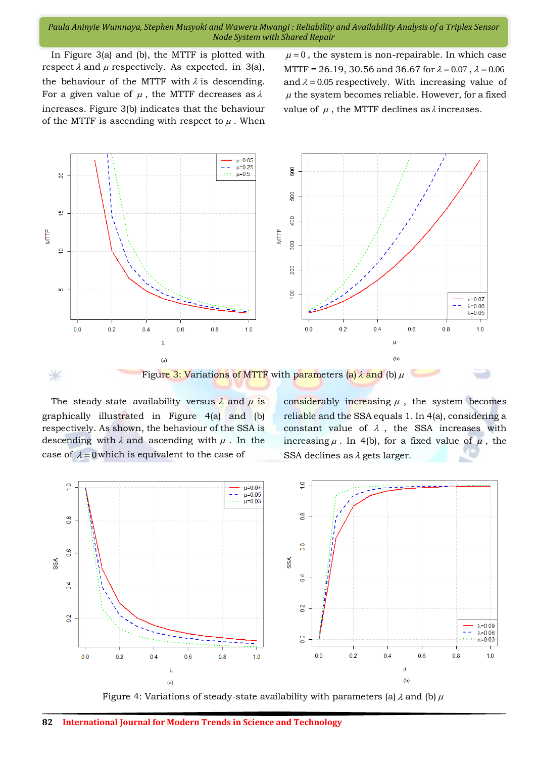In Figure 3(a) and (b), the MTTF is plotted with respect  $\lambda$  and  $\mu$  respectively. As expected, in 3(a), the behaviour of the MTTF with  $\lambda$  is descending. For a given value of  $\mu$ , the MTTF decreases as  $\lambda$ increases. Figure 3(b) indicates that the behaviour of the MTTF is ascending with respect to  $\mu$ . When

 $\mu = 0$ , the system is non-repairable. In which case MTTF = 26.19, 30.56 and 36.67 for  $\lambda = 0.07$ ,  $\lambda = 0.06$ and  $\lambda = 0.05$  respectively. With increasing value of  $\mu$  the system becomes reliable. However, for a fixed value of  $\mu$ , the MTTF declines as  $\lambda$  increases.



The steady-state availability versus  $\lambda$  and  $\mu$  is graphically illustrated in Figure 4(a) and (b) respectively. As shown, the behaviour of the SSA is descending with  $\lambda$  and ascending with  $\mu$ . In the case of  $\lambda = 0$  which is equivalent to the case of

considerably increasing  $\mu$ , the system becomes reliable and the SSA equals 1. In 4(a), considering a constant value of  $\lambda$ , the SSA increases with increasing  $\mu$ . In 4(b), for a fixed value of  $\mu$ , the SSA declines as  $\lambda$  gets larger.



Figure 4: Variations of steady-state availability with parameters (a)  $\lambda$  and (b)  $\mu$